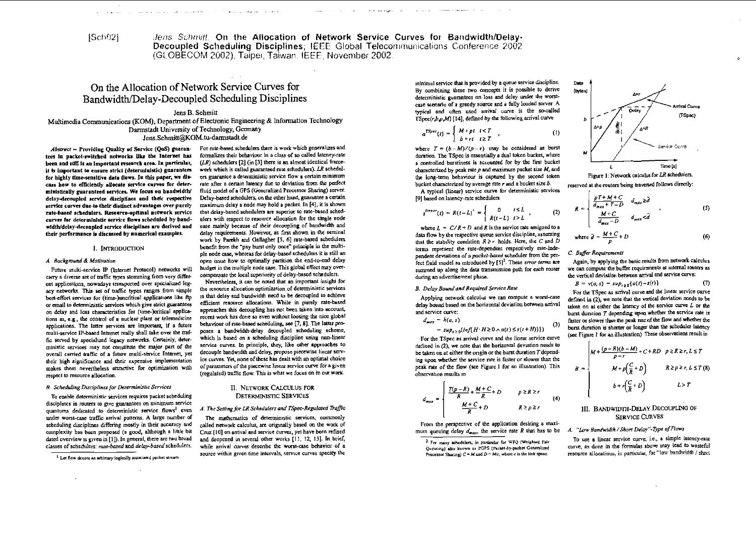ISch021

Jens Schmitt. On the Allocation of Network Service Curves for Bandwidth/Delay-Decoupled Scheduling Disciplines: IEEE Global Teleconmunications Conference 2002 (GLOBECOM 2002). Taipe: Taiwan, IEEE, November 2002.

# On the Allocation of Network Service Curves for Bandwidth/Delay-Decoupled Scheduling Disciplines

the company of the company and

and the second companies of the second

# Jens B. Schmitt

Multimedia Communications (KOM), Department of Electronic Engineering & Information Technology Darmstadt University of Technology, Germany Jens.Schmitt@KOM.tu-darmstadt.de

Abstract - Providing Quality of Service (QoS) guarantees in packet-switched networks like the Internet has been and still is an Important research area. In particular, it is important to ensure strict (deterministic) guarantees for highly fime-sensitive data flows. In this paper, we discuss how to efficiently allocate service curves for deterministically guaranteed services. We focus on handwidth/ delay-decoupled service disciplines and their respective service curves due to their distinct advantages over purely rate-based schedulers. Resource-optimal network service curves for deterministic service flows scheduled by bandwidth/delay-deconnied service disciplines are derived and their performance is discussed by numerical examples.

#### I. INTRODUCTION

#### A. Background & Motivation

Future multi-service IP (Internet Protocol) networks will carry a diverse set of traffic types stemming from very different applications, nowadays transported over specialized legacy networks. This set of traffic types ranges from simple best-effort services for (time-)uncritical applications like ftp or email to deterministic services which give strict guarantees on delay and loss characteristics for (time-)critical applications as, e.g., the control of a nuclear plant or telemedicine applications. The latter services are important, if a future multi-service IP-based Internet really shall take over the traffic served by specialized legacy networks. Certainly, deterministic services may not constitute the major part of the overall carried traffic of a future multi-service Internet, yet their high significance and their expensive implementation makes them nevertheless attractive for optimization with respect to resource allocation.

#### B. Scheduling Disciplines for Deterministic Services

To enable deterministic services requires packet scheduling disciplines in routers to give guarantees on minimum service quantums dedicated to deterministic service flows<sup>1</sup> even under worst-case traffic arrival patterns. A large number of scheduling disciplines differing mostly in their accuracy and complexity has been proposed (a good, although a little bit dated overview is given in [1]). In general, there are two broad classes of schedulers: rate-based and delay-based schedulers.

For rate-based schedulers there is work which generalizes and formalizes their behaviour in a class of so called lateney-rate  $(LR)$  schedulers  $[2]$  (in  $[3]$  there is an almost identical framework which is called guaranteed rate schedulers). LR schedulers guarantee a deterministic service flow a certain minimum rate after a certain latency due to deviation from the perfect fluid model of a GPS (Generalized Processor Sharing) server. Delay-based schedulers, on the other hand, guarantee a certain maximum delay a node may hold a packet. In [4], it is shown that delay-based schedulers are superior to rate-based schedulers with respect to resource allocation for the single node ease mainly because of their decoupling of bandwidth and delay requirements. However, as first shown in the seminal work by Parckh and Gallagher [5, 6] rate-based schedulers benefit from the "pay burst only once" principle in the multiple node case, whereas for delay-based schedulers it is still an open issue how to optimally partition the end-to-end delay budget in the multiple node case. This global effect may overcompensate the local superiority of delay-based schedulers.

Nevertheless, it can be noted that an important insight for the resource allocation optimization of deterministic services is that delay and bandwidth need to be decoupled to achieve efficient resource allocations. While in purely rate-based approaches this decoupling has not been taken into account, recent work has done so even without loosing the nice global behaviour of rate-based scheduling, see [7, 8]. The latter proposes a bandwidth-delay decoupled scheduling scheme, which is based on a scheduling discipline using non-linear service eurves. In principle, they, like other approaches to decouple bandwidth and delay, propose piecewise linear service curves. Yet, none of these has dealt with an optimal choice of parameters of the piecewise linear service curve for a given (regulated) traffic flow. This is what we focus on in our work.

## II. NETWORK CALCULUS FOR **DETERMINISTIC SERVICES**

# A. The Setting for LR Schedulers and TSpec-Regulated Traffic

The mathematics of deterministic services, commonly called network calculus, are originally based on the work of Cruz [10] on arrival and service curves, yet have been refined and deepened in several other works [11, 12, 13]. In brief, while arrival curves desembe the worst-case behavior of a source within given time intervals, service curves specity the

minimal service that is provided by a queue service discipline. By combining these two concepts it is possible to derive deterministic guarantees on loss and delay under the worstcase scenario of a greedy source and a fully loaded server A typical and often used arrival curve is the so-called TSpec(r, b,p,M) [14], defined by the following arrival curve

$$
a^{TSpec}(t) = \begin{cases} M+pt & t < T \\ b+rt & t \geq T \end{cases}
$$

where  $T = (b - M)/(p - r)$  may be considered as burst duration. The TSpec is essentially a dual token bucket, where a controlled burstiness is accounted for by the first bucket characterized by peak rate  $p$  and maximum packet size  $M$ , and the long-term behaviour is captured by the second token bucket characterized by average rate  $r$  and a bucket size  $b$ .

A typical (linear) service curve for deterministic services [9] based on latency-rate schedulers

$$
s^{linear}(t) = R(t-L)^{+} = \begin{cases} 0 & t \le L \\ R(t-L) & t > L \end{cases},
$$
 (2)

where  $L = C/R + D$  and R is the service rate assigned to a data flow by the respective queue service discipline, assuming that the stability condition  $R \ge r$  holds. Here, the C and D terms represent the rate-dependent respectively rate-independent devisions of a packet-based scheduler from the perfect fluid model as miroduced by [5]<sup>2</sup>. These error terms are summed up along the data transmission path for each router during an advertisement phase.

#### B. Delay Bound and Required Service Rate

Applying network calculus we can compute a worst-case delay bound based on the horizontal deviation between arrival and service curve:

 $d_{\text{max}} = h(a, s)$ 

 $\overline{d}$ 

$$
= sup_{t\geq 0}(inf\{H\cdot H\geq 0 \wedge a(t)\leq s(t+H)\})
$$
 (3)

For the TSpec as arrival curve and the linear service curve defined in  $(2)$ , we note that the horizontal deviation needs to be taken on at either the origin or the burst duration  $T$  depending upon whether the service rate is faster or slower than the neak rate of the flow (see Figure 1 for an illustration). This observation results in

$$
T_{max} = \begin{cases} \frac{T(p-R)}{R} + \frac{M+C}{R} + D & p \ge R \ge r\\ \frac{M+C}{R} + D & R \ge p \ge r \end{cases} \tag{4}
$$

From the perspective of the application desiring a maximum queuing delay  $d_{\text{max}}$ , the service rate R that has to be



Figure 1: Network calculus for LR schedulers. reserved at the routers being traversed follows directly:

$$
R = \begin{cases} \frac{pT + M + C}{d_{max} + T - D} & d_{max} \ge \bar{d} \\ \frac{M + C}{d_{max} - D} & d_{max} < \bar{d} \end{cases} (5)
$$

where 
$$
\bar{d} = \frac{M + C}{p} + D
$$
 (6)

C. Buffer Requirements

 $(1)$ 

Again, by applying the basic results from network calculus we can compute the buffer requirements at internal routers as the vertical deviation between arrival and service curve;

$$
B = v(a, s) = sup_{\ell \geq 0} \{a(\ell) - s(\ell)\} \tag{7}
$$

For the TSpec as arrival curve and the linear service curve defined in  $(2)$ , we note that the vertical deviation needs to be taken on at either the latency of the service curve  $L$  or the burst duration T depending upon whether the service rate is faster or slower than the peak rate of the flow and whether the burst duration is shorter or longer than the scheduler latency (see Figure ! for an illustration) These observations result in

$$
B = \begin{cases} M + \frac{(p - R)(b - M)}{p - r} + C + RD & p \ge R \ge r, L \le T \\ M + p\left(\frac{C}{R} + D\right) & R \ge p \ge r, L \le T \text{ (8)} \\ b + r\left(\frac{C}{R} + D\right) & L > T \end{cases}
$$

# III. BANDWIDTH-DELAY DECOUPLING OF **SERVICE CURVES**

## A. "Low Bandwidth / Short Delay"-Type of Flows

To use a linear service curve, i.e., a simple latency-rate curve, as done in the formulas above may lead to wasteful resource allocations, in particular, for "low bandwidth / short

<sup>&</sup>lt;sup>1.</sup> Let flow denote an arbitrary logically associated packet stream.

<sup>&</sup>lt;sup>2</sup> For many schedulers, in particular for WFQ (Weighted Fair Queucing) also known as PGPS (Packet-by-packet Generalized Processor Sharing)  $C = M$  and  $D = M/c$ , where c is the link speed.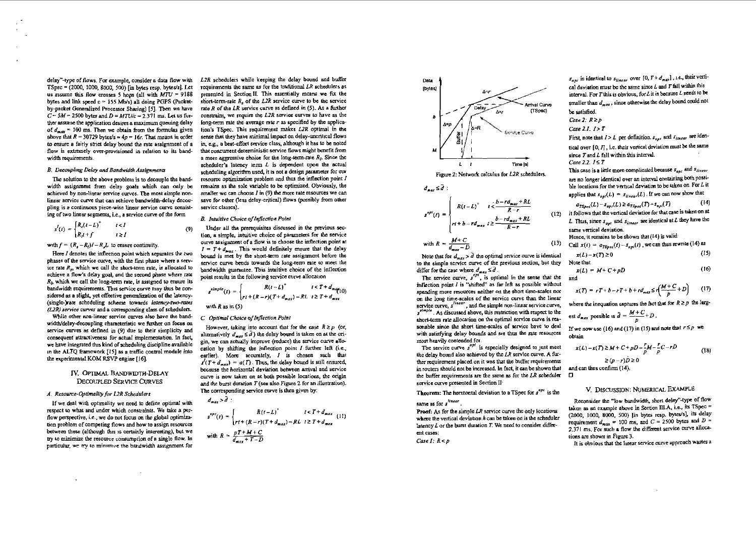delay"-type of flows. For example, consider a data flow with  $T$ Spec =  $(2000, 1000, 8000, 500)$  fin bytes resp. bytes/sl. Let us assume this flow crosses 5 hops (all with  $MTU = 9188$ bytes and link speed  $c = 155$  Mb/s) all doing PGPS (Packetby-packet Generalized Processor Sharing) [5]. Then we have  $C = 5M = 2500$  bytes and  $D = MTU/c = 2.371$  ms. Let us further assume the application desires a maximum queuing delay of  $d_{max} = 100$  ms. Then we obtain from the formulas given above that  $R = 30729$  bytes/s  $\approx 4p = 16r$ . That means in order to ensure a fairly strict delay bound the rate assignment of a flow is extremely over-provisioned in relation to its bandwidth requirements.

#### B. Decoupling Delay and Bandwidth Assignments

The solution to the above problem is to decounle the bandwidth assignment from delay goals which can only be achieved by non-linear service curves. The most simple nonlinear service curve that can achieve bandwidth-delay decoupling is a continuous piece-wise linear service curve consisting of two linear segments, i.e., a service curve of the form

$$
s^{l}(t) = \begin{cases} R_{s}(t-L)^{+} & t < I \\ R_{j}t+f & t \ge I \end{cases}
$$

with  $f = (R_1 - R_1)I - R_1I$  to ensure continuity.

Here I denotes the inflection point which separates the two phases of the service curve, with the first phase where a service rate  $R_n$ , which we call the short-term rate, is allocated to achieve a flow's delay goal, and the second phase where rate  $R_1$ , which we call the long-term rate, is assigned to ensure its bandwidth requirements. This service curve may thus be considered as a slight, yet effective generalization of the latency-(single-)rate scheduling scheme towards latency-two-rates (L2R) service curves and a corresponding class of schedulers.

While other non-linear service curves also have the bandwidth/delay-decoupling characteristic we further on focus on service curves as defined in (9) due to their simplicity and consequent attractiveness for actual implementation. In fact, we have integrated this kind of scheduling discipline available in the ALTQ framework [15] as a traffic control module into the experimental KOM RSVP engine [16].

## IV. OPTIMAL BANDWIDTH-DELAY **DECOUPLED SERVICE CURVES**

### A. Resource-Optimality for L2R Schedulers

If we deal with optimality we need to define optimal with respect to what and under which constraints. We take a perflow perspective, i.e., we do not focus on the global optimization problem of competing flows and how to assign resources between these (although this is certainly interesting), but we try to minimize the resource consumption of a single flow. In particular, we try to minimize the bandwidth assignment for

L2R schedulers while keeping the delay bound and buffer requirements the same as for the traditional  $LR$  schedulets as presented in Section II. This essentially means we fix the short-term-rate  $R$ , of the  $L2R$  service curve to be the service rate  $R$  of the LR service curve as defined in (5). As a further constraint, we require the  $L2R$  service eurves to have as the long-term rate the average rate r as specified by the application's TSnec. This requirement makes L2R optimal in the sense that they have minimal impact on delay-uncritical flows in e.g., a best-effort service class, although it has to be noted that concurrent deterministic service flows might benefit from a more aggressive choice for the long-term-rate  $R<sub>1</sub>$ . Since the scheduler's latency term  $L$  is dependent upon the actual scheduling algorithm used, it is not a design parameter for our resource optimization problem and thus the inflection point I remains as the sole variable to be optimized. Obviously, the smaller we can choose  $I$  in  $(9)$  the more rate resources we can save for other (less delay-critical) flows (possibly from other service classes).

**B.** Intuitive Choice of Inflection Point

Under all tha prerequisites discussed in the previous section, a simple, intuitive choice of parameters for the service curve assignment of a flow is to choose the inflection point at  $I = T + d_{max}$ . This would definitely ensure that the delay bound is met by the short-term rate assignment before the service curve bends towards the long-term rate to meet the handwidth purrantee. This intuitive choice of the inflection point results in the following service curve allocation

$$
s^{simple}(t) = \begin{cases} R(t-L)^{+} & t < T+d_{max}(10) \\ rt + (R-r)(T+d_{max}) - RL & t \ge T+d_{max} \end{cases}
$$

with  $R$  as in  $(5)$ 

 $x = 121$ 

 $(9)$ 

#### C Optimal Choice of Inflection Point

However, taking into account that for the case  $R \ge p$  (or, alternatively  $d_{\text{max}} \le d$ ) the delay bound is taken on at the origin, we can actually improve (reduce) the service curve allocation by shifting the inflection point  $I$  further left (i.e., earlier). More accurately,  $I$  is chosen such that  $f(T+d_{\text{max}}) = a(T)$ . Thus, the delay bound is still ensured, because the horizontal deviation between arrival and service curve is now taken on at both possible locations, the origin and the burst duration  $T$  (see also Figure 2 for an illustration). The corresponding service curve is then given by:

$$
a_{max} > a
$$
\n
$$
s^{op}(t) = \begin{cases} R(t-L)^{+} & t < T + d_{max} \\ rt + (R-r)(T + d_{max}) - RL & t \ge T + d_{max} \end{cases}
$$
\n
$$
m \text{ with } R = \frac{pT + M + C}{d_{max} + T - D}
$$



Figure 2: Network calculus for L2R schedulers.



Note that for  $d_{max} > \tilde{d}$  the optimal service curve is identical to the simple service curve of the previous section, but they differ for the case where  $d_{max} \le d$ .

The service curve,  $s^{opt}$ , is optimal in the sense that the inflection noint  $I$  is "shifted" as far left as possible without spending more resources neither on the short time-scales nor on the long time-scales of the service curve than the linear service curve,  $s^{linear}$ , and the simple non-linear service curve. s<sup>timple</sup>. As discussed above, this restriction with respect to the short-term rate allocation on the optimal service curve is reasonable since the short time-scales of service bave to deal with satisfying delay bounds and are thus the rate resources most heavily contended for.

The service curve  $s^{opt}$  is especially designed to just meet the delay bound also achieved by the LR service curve. A further requirement placed on it was that the buffer requirements in routers should not be increased. In fact, it can be shown that the buffer requirements are the same as for the  $LR$  sebeduler service curve presented in Section II<sup>.</sup>

**Theorem:** The horizontal deviation to a TSpec for  $s^{opt}$  is the

same as for 
$$
s
$$

Proof: As for the simple LR service curve the only locations where the vertical deviation  $h$  can be taken on is the scheduler latency  $L$  or the burst duration  $T$ . We need to consider different cases:

Case  $I: R < p$ 

 $s_{opt}$  is identical to  $s_{linear}$  over [0,  $T + d_{max}$ ], i.e., their vertical deviation must be the same since  $L$  and  $T$  fall within this interval. For T this is obvious, for L it is because L needs to be smaller than  $d_{max}$ , since otherwise the delay bound could not be satisfied.

Case 2:  $R \geq p$ 

 $(13)$ 

and

 $\Box$ 

 $\mathbf{r}$ 

Case 2.1.  $I > T$ 

First, note that  $I > L$  per definition.  $s_{out}$  and  $s_{linear}$  are identical over  $[0, \Pi]$ , i.e. their vertical deviation must be the same since  $T$  and  $L$  fall within this interval.

Case 2.2.  $I \leq T$ 

This case is a little more complicated because  $s_{\alpha\alpha\beta}$  and  $s_{linear}$ are no longer identical over an interval containing both possible locations for the vertical deviation to be taken on. For  $L$  it applies that  $s_{out}(L) = s_{linear}(L)$ . If we can now show that

$$
a_{TSpec}(L) - s_{opt}(L) \ge a_{TSpec}(T) - s_{opt}(T)
$$
  
if follows that the vertical deviation for that case is taken on at

L. Thus, since  $s_{opt}$  and  $s_{linear}$  are identical at L they have the same vertical deviation.

Hence, it remains to be shown that  $(14)$  is valid

Call 
$$
\mathbf{r}(t) = a_{TSpec}(t) - s_{opt}(t)
$$
, we can thus rewrite (14) as

$$
\mathbf{r}(L) - \mathbf{r}(T) \ge 0 \tag{15}
$$

Note that  

$$
x(L) = M + C + pD
$$
 (16)

$$
T = rT + b - rT + b + rd_{max} \le r\left(\frac{M+C}{p} + D\right) \qquad (17)
$$

where the inequation captures the fact that for  $R \ge p$  the larg-

st 
$$
d_{max}
$$
 possible is  $\tilde{d} = \frac{M+C}{p} + D$ .

If we now use (16) and (17) in (15) and note that  $r \leq p$  we ohtain

$$
x(L) - x(T) \ge M + C + pD - \frac{F}{p}M - \frac{F}{p}C - rD
$$
  
 
$$
\ge (p - r)\bar{D} \ge 0
$$
 (18)

and ean thus confirm (14).

# V. DISCUSSION: NUMERICAL EXAMPLE

Reconsider the "low bandwidth, short delay"-type of flow taken as an example above in Section III.A, i.e., its TSpec = (2000, 1000, 8000, 500) Jin bytes resp. bytes/s], its delay requirement  $d_{max} = 100$  ms, and  $C = 2500$  bytes and  $D =$ 2.371 ms. For such a flow the different service curve allocations are shown in Figure 3.

It is obvious that the linear service curve approach wastes a